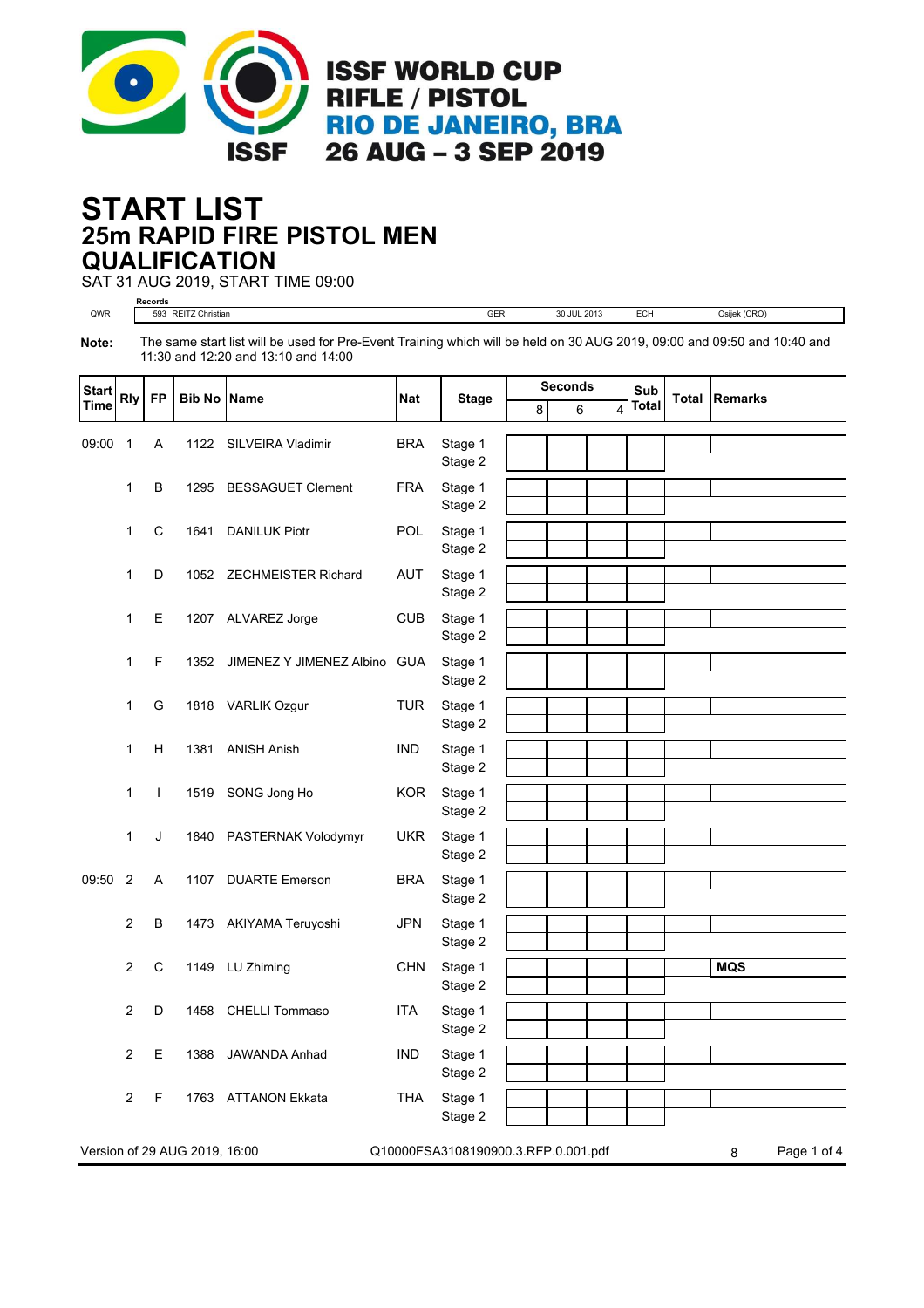

## **25m RAPID FIRE PISTOL MEN START LIST QUALIFICATION**

SAT 31 AUG 2019, START TIME 09:00

**Records** QWR 593 REITZ Christian GER 30 JUL 2013 ECH Osijek (CRO) **Note:** The same start list will be used for Pre-Event Training which will be held on 30 AUG 2019, 09:00 and 09:50 and 10:40 and 11:30 and 12:20 and 13:10 and 14:00

| <b>Start</b> | <b>Rly</b>     | <b>FP</b>    | <b>Bib No Name</b>            |                              | <b>Nat</b> | <b>Stage</b>                        | <b>Seconds</b> |   | Sub                     | Total        | <b>Remarks</b> |                  |
|--------------|----------------|--------------|-------------------------------|------------------------------|------------|-------------------------------------|----------------|---|-------------------------|--------------|----------------|------------------|
| Time         |                |              |                               |                              |            |                                     | 8              | 6 | $\overline{\mathbf{4}}$ | <b>Total</b> |                |                  |
| 09:00        | $\overline{1}$ | A            | 1122                          | SILVEIRA Vladimir            | <b>BRA</b> | Stage 1<br>Stage 2                  |                |   |                         |              |                |                  |
|              | 1              | B            | 1295                          | <b>BESSAGUET Clement</b>     | <b>FRA</b> | Stage 1                             |                |   |                         |              |                |                  |
|              |                |              |                               |                              |            | Stage 2                             |                |   |                         |              |                |                  |
|              | 1              | $\mathsf C$  | 1641                          | <b>DANILUK Piotr</b>         | POL        | Stage 1<br>Stage 2                  |                |   |                         |              |                |                  |
|              | 1              | D            |                               | 1052 ZECHMEISTER Richard     | <b>AUT</b> | Stage 1                             |                |   |                         |              |                |                  |
|              |                |              |                               |                              |            | Stage 2                             |                |   |                         |              |                |                  |
|              | 1              | Е            |                               | 1207 ALVAREZ Jorge           | <b>CUB</b> | Stage 1<br>Stage 2                  |                |   |                         |              |                |                  |
|              | 1              | F            | 1352                          | JIMENEZ Y JIMENEZ Albino GUA |            | Stage 1                             |                |   |                         |              |                |                  |
|              |                |              |                               |                              |            | Stage 2                             |                |   |                         |              |                |                  |
|              | 1              | G            |                               | 1818 VARLIK Ozgur            | <b>TUR</b> | Stage 1<br>Stage 2                  |                |   |                         |              |                |                  |
|              | 1              | н            | 1381                          | <b>ANISH Anish</b>           | <b>IND</b> | Stage 1                             |                |   |                         |              |                |                  |
|              |                |              |                               |                              |            | Stage 2                             |                |   |                         |              |                |                  |
|              | 1              | $\mathbf{I}$ | 1519                          | SONG Jong Ho                 | <b>KOR</b> | Stage 1                             |                |   |                         |              |                |                  |
|              |                |              |                               |                              |            | Stage 2                             |                |   |                         |              |                |                  |
|              | $\mathbf{1}$   | J            | 1840                          | PASTERNAK Volodymyr          | <b>UKR</b> | Stage 1<br>Stage 2                  |                |   |                         |              |                |                  |
| 09:50        | $\overline{2}$ | Α            | 1107                          | <b>DUARTE Emerson</b>        | <b>BRA</b> | Stage 1                             |                |   |                         |              |                |                  |
|              |                |              |                               |                              |            | Stage 2                             |                |   |                         |              |                |                  |
|              | 2              | В            |                               | 1473 AKIYAMA Teruyoshi       | <b>JPN</b> | Stage 1                             |                |   |                         |              |                |                  |
|              | 2              | $\mathsf C$  | 1149                          | LU Zhiming                   | <b>CHN</b> | Stage 2<br>Stage 1                  |                |   |                         |              |                | <b>MQS</b>       |
|              |                |              |                               |                              |            | Stage 2                             |                |   |                         |              |                |                  |
|              | $\overline{c}$ | D            | 1458                          | <b>CHELLI Tommaso</b>        | <b>ITA</b> | Stage 1                             |                |   |                         |              |                |                  |
|              |                |              |                               |                              |            | Stage 2                             |                |   |                         |              |                |                  |
|              | $\overline{2}$ | Е            | 1388                          | JAWANDA Anhad                | <b>IND</b> | Stage 1<br>Stage 2                  |                |   |                         |              |                |                  |
|              | $\overline{2}$ | F            | 1763                          | <b>ATTANON Ekkata</b>        | <b>THA</b> | Stage 1<br>Stage 2                  |                |   |                         |              |                |                  |
|              |                |              | Version of 29 AUG 2019, 16:00 |                              |            | Q10000FSA3108190900.3.RFP.0.001.pdf |                |   |                         |              |                | Page 1 of 4<br>8 |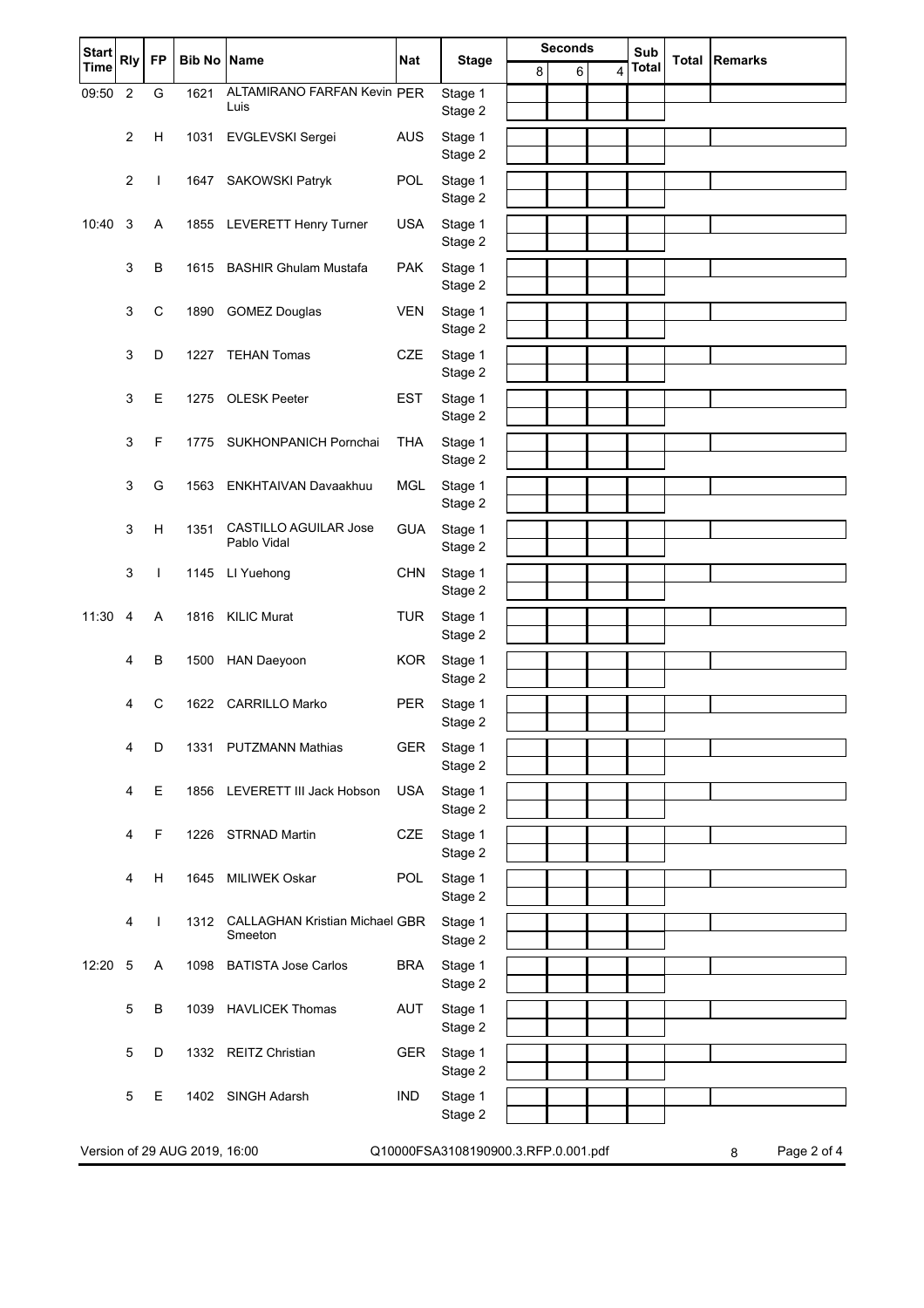| <b>Start</b>                                                              | <b>Rly</b>     | <b>FP</b>    | <b>Bib No Name</b> |                                             | <b>Nat</b> | <b>Stage</b>       | <b>Seconds</b> |  |             |   | Sub          |  | <b>Total Remarks</b> |
|---------------------------------------------------------------------------|----------------|--------------|--------------------|---------------------------------------------|------------|--------------------|----------------|--|-------------|---|--------------|--|----------------------|
| <b>Time</b>                                                               |                |              |                    |                                             |            |                    | 8              |  | 6           | 4 | <b>Total</b> |  |                      |
| 09:50                                                                     | $\overline{2}$ | G            | 1621               | ALTAMIRANO FARFAN Kevin PER<br>Luis         |            | Stage 1<br>Stage 2 |                |  |             |   |              |  |                      |
|                                                                           | $\overline{2}$ | H            | 1031               | EVGLEVSKI Sergei                            | <b>AUS</b> | Stage 1            |                |  |             |   |              |  |                      |
|                                                                           |                |              |                    |                                             |            | Stage 2            |                |  |             |   |              |  |                      |
|                                                                           | $\overline{2}$ | $\mathbf{I}$ | 1647               | SAKOWSKI Patryk                             | POL        | Stage 1            |                |  |             |   |              |  |                      |
|                                                                           |                |              |                    |                                             |            | Stage 2            |                |  |             |   |              |  |                      |
| 10:40                                                                     | 3              | A            | 1855               | <b>LEVERETT Henry Turner</b>                | <b>USA</b> | Stage 1            |                |  |             |   |              |  |                      |
|                                                                           |                | B            | 1615               | <b>BASHIR Ghulam Mustafa</b>                | <b>PAK</b> | Stage 2            |                |  |             |   |              |  |                      |
|                                                                           | 3              |              |                    |                                             |            | Stage 1<br>Stage 2 |                |  |             |   |              |  |                      |
|                                                                           | 3              | $\mathsf C$  | 1890               | <b>GOMEZ Douglas</b>                        | <b>VEN</b> | Stage 1            |                |  |             |   |              |  |                      |
|                                                                           |                |              |                    |                                             |            | Stage 2            |                |  |             |   |              |  |                      |
|                                                                           | 3              | D            | 1227               | <b>TEHAN Tomas</b>                          | <b>CZE</b> | Stage 1            |                |  |             |   |              |  |                      |
|                                                                           |                |              |                    |                                             |            | Stage 2            |                |  |             |   |              |  |                      |
|                                                                           | 3              | Е            | 1275               | <b>OLESK Peeter</b>                         | <b>EST</b> | Stage 1<br>Stage 2 |                |  |             |   |              |  |                      |
|                                                                           | 3              | F            | 1775               | SUKHONPANICH Pornchai                       | <b>THA</b> | Stage 1            |                |  |             |   |              |  |                      |
|                                                                           |                |              |                    |                                             |            | Stage 2            |                |  |             |   |              |  |                      |
|                                                                           | 3              | G            | 1563               | ENKHTAIVAN Davaakhuu                        | <b>MGL</b> | Stage 1            |                |  |             |   |              |  |                      |
|                                                                           |                |              |                    |                                             |            | Stage 2            |                |  |             |   |              |  |                      |
|                                                                           | 3              | H            | 1351               | <b>CASTILLO AGUILAR Jose</b><br>Pablo Vidal | <b>GUA</b> | Stage 1            |                |  |             |   |              |  |                      |
|                                                                           |                |              |                    |                                             |            | Stage 2            |                |  |             |   |              |  |                      |
|                                                                           | 3              | T            | 1145               | LI Yuehong                                  | <b>CHN</b> | Stage 1<br>Stage 2 |                |  |             |   |              |  |                      |
| 11:30                                                                     | $\overline{4}$ | A            | 1816               | <b>KILIC Murat</b>                          | <b>TUR</b> | Stage 1            |                |  |             |   |              |  |                      |
|                                                                           |                |              |                    |                                             |            | Stage 2            |                |  |             |   |              |  |                      |
|                                                                           | 4              | B            | 1500               | <b>HAN Daeyoon</b>                          | <b>KOR</b> | Stage 1            |                |  |             |   |              |  |                      |
|                                                                           |                |              |                    |                                             |            | Stage 2            |                |  |             |   |              |  |                      |
|                                                                           | 4              | $\mathsf{C}$ | 1622               | <b>CARRILLO Marko</b>                       | <b>PER</b> | Stage 1<br>Stage 2 |                |  |             |   |              |  |                      |
|                                                                           | 4              | D            |                    | 1331 PUTZMANN Mathias                       | <b>GER</b> | Stage 1            |                |  |             |   |              |  |                      |
|                                                                           |                |              |                    |                                             |            | Stage 2            |                |  |             |   |              |  |                      |
|                                                                           | 4              | Е            | 1856               | LEVERETT III Jack Hobson                    | <b>USA</b> | Stage 1            |                |  |             |   |              |  |                      |
|                                                                           |                |              |                    |                                             |            | Stage 2            |                |  |             |   |              |  |                      |
|                                                                           | 4              | F            | 1226               | <b>STRNAD Martin</b>                        | <b>CZE</b> | Stage 1<br>Stage 2 |                |  |             |   |              |  |                      |
|                                                                           | 4              | Н            | 1645               | MILIWEK Oskar                               | POL        | Stage 1            |                |  |             |   |              |  |                      |
|                                                                           |                |              |                    |                                             |            | Stage 2            |                |  |             |   |              |  |                      |
|                                                                           | 4              | $\mathbf{I}$ | 1312               | <b>CALLAGHAN Kristian Michael GBR</b>       |            | Stage 1            |                |  |             |   |              |  |                      |
|                                                                           |                |              |                    | Smeeton                                     |            | Stage 2            |                |  |             |   |              |  |                      |
| 12:20                                                                     | 5              | A            | 1098               | <b>BATISTA Jose Carlos</b>                  | <b>BRA</b> | Stage 1            |                |  |             |   |              |  |                      |
|                                                                           |                |              |                    |                                             |            | Stage 2            |                |  |             |   |              |  |                      |
|                                                                           | 5              | В            | 1039               | <b>HAVLICEK Thomas</b>                      | <b>AUT</b> | Stage 1<br>Stage 2 |                |  |             |   |              |  |                      |
|                                                                           | 5              | D            | 1332               | <b>REITZ Christian</b>                      | <b>GER</b> | Stage 1            |                |  |             |   |              |  |                      |
|                                                                           |                |              |                    |                                             |            | Stage 2            |                |  |             |   |              |  |                      |
|                                                                           | 5              | Е            |                    | 1402 SINGH Adarsh                           | <b>IND</b> | Stage 1            |                |  |             |   |              |  |                      |
|                                                                           |                |              |                    |                                             |            | Stage 2            |                |  |             |   |              |  |                      |
| Version of 29 AUG 2019, 16:00<br>Q10000FSA3108190900.3.RFP.0.001.pdf<br>8 |                |              |                    |                                             |            |                    |                |  | Page 2 of 4 |   |              |  |                      |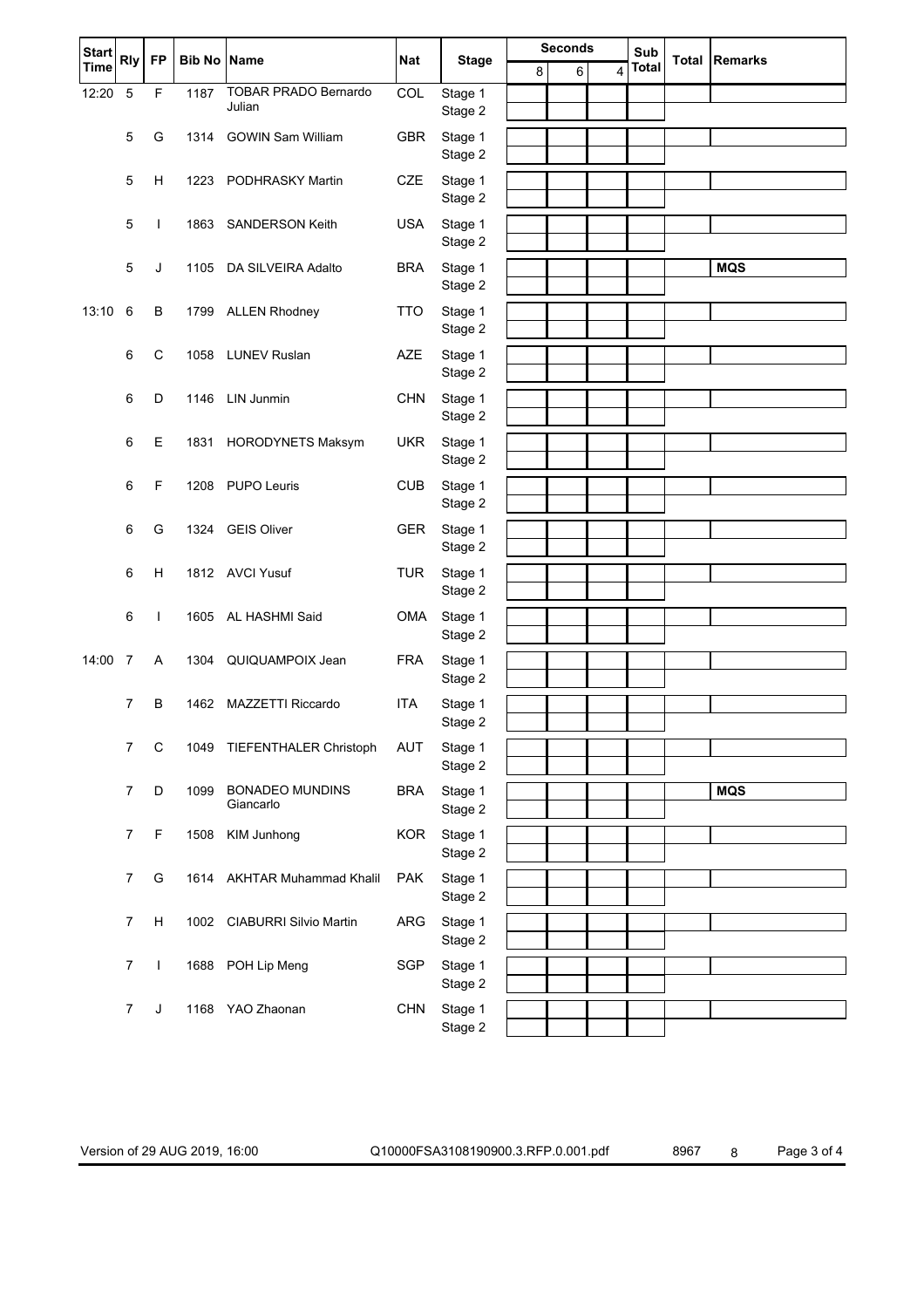| <b>Start</b> | <b>Rly</b>      | <b>FP</b>    | <b>Bib No Name</b> |                                     | <b>Nat</b> |                    |   | <b>Seconds</b> |   | Sub          | <b>Total Remarks</b> |
|--------------|-----------------|--------------|--------------------|-------------------------------------|------------|--------------------|---|----------------|---|--------------|----------------------|
| <b>Time</b>  |                 |              |                    |                                     |            | <b>Stage</b>       | 8 | 6              | 4 | <b>Total</b> |                      |
| 12:20        | 5               | F            | 1187               | TOBAR PRADO Bernardo<br>Julian      | COL        | Stage 1            |   |                |   |              |                      |
|              |                 |              |                    |                                     |            | Stage 2            |   |                |   |              |                      |
|              | 5               | G            | 1314               | <b>GOWIN Sam William</b>            | GBR        | Stage 1<br>Stage 2 |   |                |   |              |                      |
|              | 5               | н            | 1223               | PODHRASKY Martin                    | CZE        | Stage 1            |   |                |   |              |                      |
|              |                 |              |                    |                                     |            | Stage 2            |   |                |   |              |                      |
|              | 5               | $\mathbf{I}$ | 1863               | <b>SANDERSON Keith</b>              | <b>USA</b> | Stage 1            |   |                |   |              |                      |
|              |                 |              |                    |                                     |            | Stage 2            |   |                |   |              |                      |
|              | 5               | J            | 1105               | DA SILVEIRA Adalto                  | <b>BRA</b> | Stage 1            |   |                |   |              | <b>MQS</b>           |
|              |                 |              |                    |                                     |            | Stage 2            |   |                |   |              |                      |
| 13:10        | $6\phantom{1}6$ | $\sf B$      |                    | 1799 ALLEN Rhodney                  | <b>TTO</b> | Stage 1<br>Stage 2 |   |                |   |              |                      |
|              | 6               | $\mathsf C$  | 1058               | <b>LUNEV Ruslan</b>                 | <b>AZE</b> | Stage 1            |   |                |   |              |                      |
|              |                 |              |                    |                                     |            | Stage 2            |   |                |   |              |                      |
|              | 6               | D            | 1146               | <b>LIN Junmin</b>                   | <b>CHN</b> | Stage 1            |   |                |   |              |                      |
|              |                 |              |                    |                                     |            | Stage 2            |   |                |   |              |                      |
|              | 6               | $\mathsf E$  | 1831               | <b>HORODYNETS Maksym</b>            | <b>UKR</b> | Stage 1            |   |                |   |              |                      |
|              |                 |              |                    |                                     |            | Stage 2            |   |                |   |              |                      |
|              | 6               | F            | 1208               | <b>PUPO Leuris</b>                  | <b>CUB</b> | Stage 1<br>Stage 2 |   |                |   |              |                      |
|              | 6               | G            | 1324               | <b>GEIS Oliver</b>                  | GER        | Stage 1            |   |                |   |              |                      |
|              |                 |              |                    |                                     |            | Stage 2            |   |                |   |              |                      |
|              | 6               | н            |                    | 1812 AVCI Yusuf                     | <b>TUR</b> | Stage 1            |   |                |   |              |                      |
|              |                 |              |                    |                                     |            | Stage 2            |   |                |   |              |                      |
|              | 6               | $\mathbf{I}$ | 1605               | AL HASHMI Said                      | OMA        | Stage 1            |   |                |   |              |                      |
|              |                 |              |                    |                                     |            | Stage 2            |   |                |   |              |                      |
| 14:00        | $\overline{7}$  | A            | 1304               | QUIQUAMPOIX Jean                    | <b>FRA</b> | Stage 1<br>Stage 2 |   |                |   |              |                      |
|              | $\overline{7}$  | B            | 1462               | <b>MAZZETTI Riccardo</b>            | <b>ITA</b> | Stage 1            |   |                |   |              |                      |
|              |                 |              |                    |                                     |            | Stage 2            |   |                |   |              |                      |
|              | $\overline{7}$  | $\mathsf C$  | 1049               | TIEFENTHALER Christoph              | <b>AUT</b> | Stage 1            |   |                |   |              |                      |
|              |                 |              |                    |                                     |            | Stage 2            |   |                |   |              |                      |
|              | $\overline{7}$  | D            | 1099               | <b>BONADEO MUNDINS</b><br>Giancarlo | <b>BRA</b> | Stage 1            |   |                |   |              | <b>MQS</b>           |
|              |                 |              |                    |                                     |            | Stage 2            |   |                |   |              |                      |
|              | $\overline{7}$  | F            | 1508               | KIM Junhong                         | <b>KOR</b> | Stage 1<br>Stage 2 |   |                |   |              |                      |
|              | 7               | G            | 1614               | <b>AKHTAR Muhammad Khalil</b>       | <b>PAK</b> | Stage 1            |   |                |   |              |                      |
|              |                 |              |                    |                                     |            | Stage 2            |   |                |   |              |                      |
|              | 7               | н            | 1002               | CIABURRI Silvio Martin              | ARG        | Stage 1            |   |                |   |              |                      |
|              |                 |              |                    |                                     |            | Stage 2            |   |                |   |              |                      |
|              | $\overline{7}$  | $\mathbf{I}$ |                    | 1688 POH Lip Meng                   | SGP        | Stage 1            |   |                |   |              |                      |
|              |                 |              |                    |                                     |            | Stage 2            |   |                |   |              |                      |
|              | 7               | J            |                    | 1168 YAO Zhaonan                    | <b>CHN</b> | Stage 1<br>Stage 2 |   |                |   |              |                      |

Version of 29 AUG 2019, 16:00 Q10000FSA3108190900.3.RFP.0.001.pdf 8967 8 Page 3 of 4